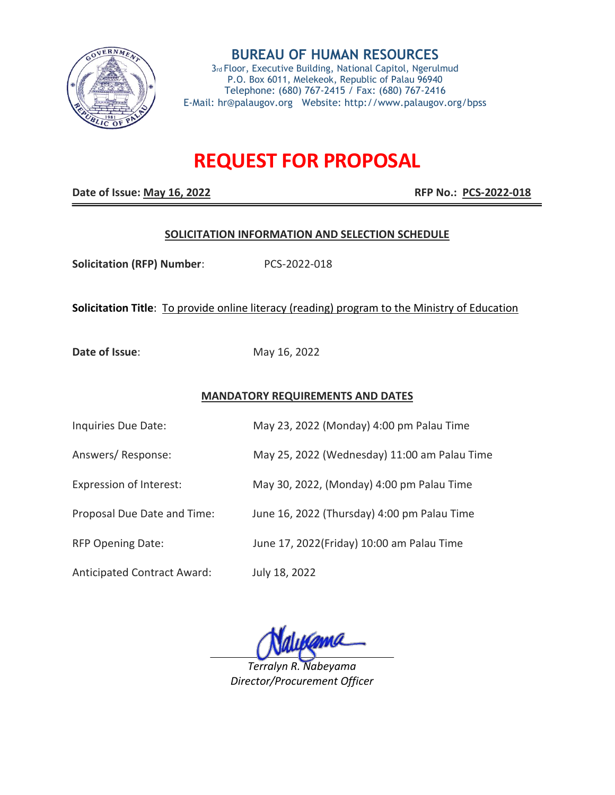

**BUREAU OF HUMAN RESOURCES** 3rd Floor, Executive Building, National Capitol, Ngerulmud P.O. Box 6011, Melekeok, Republic of Palau 96940 Telephone: (680) 767-2415 / Fax: (680) 767-2416 E-Mail: hr@palaugov.org Website: http://www.palaugov.org/bpss

# **REQUEST FOR PROPOSAL**

**Date of Issue: May 16, 2022 RFP No.: PCS-2022-018** 

#### **SOLICITATION INFORMATION AND SELECTION SCHEDULE**

**Solicitation (RFP) Number**: PCS-2022-018

# **Solicitation Title**: To provide online literacy (reading) program to the Ministry of Education

**Date of Issue:** May 16, 2022

### **MANDATORY REQUIREMENTS AND DATES**

| Inquiries Due Date:            | May 23, 2022 (Monday) 4:00 pm Palau Time     |
|--------------------------------|----------------------------------------------|
| Answers/Response:              | May 25, 2022 (Wednesday) 11:00 am Palau Time |
| <b>Expression of Interest:</b> | May 30, 2022, (Monday) 4:00 pm Palau Time    |
| Proposal Due Date and Time:    | June 16, 2022 (Thursday) 4:00 pm Palau Time  |
| <b>RFP Opening Date:</b>       | June 17, 2022(Friday) 10:00 am Palau Time    |
|                                |                                              |

Anticipated Contract Award: July 18, 2022

*Terralyn R. Nabeyama Director/Procurement Officer*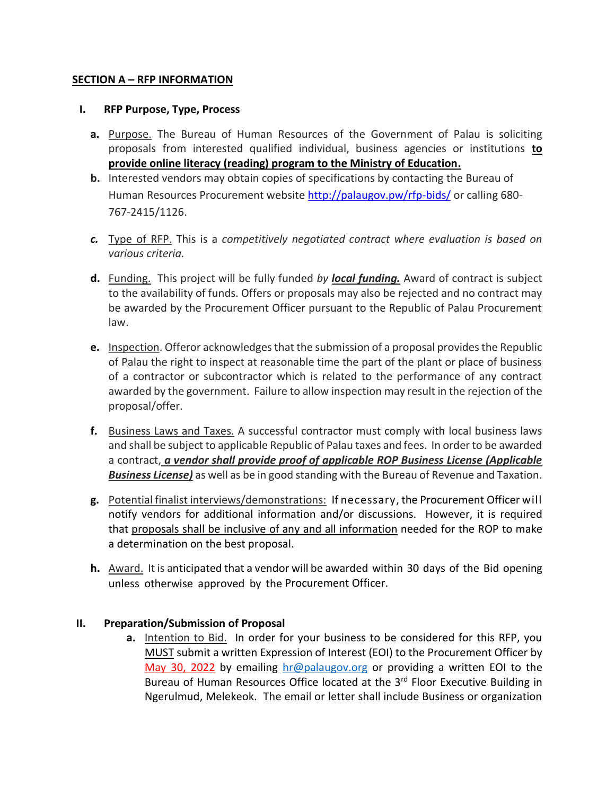# **SECTION A – RFP INFORMATION**

# **I. RFP Purpose, Type, Process**

- **a.** Purpose. The Bureau of Human Resources of the Government of Palau is soliciting proposals from interested qualified individual, business agencies or institutions **to provide online literacy (reading) program to the Ministry of Education.**
- **b.** Interested vendors may obtain copies of specifications by contacting the Bureau of Human Resources Procurement website<http://palaugov.pw/rfp-bids/> or calling 680- 767-2415/1126.
- *c.* Type of RFP. This is a *competitively negotiated contract where evaluation is based on various criteria.*
- **d.** Funding. This project will be fully funded *by local funding.* Award of contract is subject to the availability of funds. Offers or proposals may also be rejected and no contract may be awarded by the Procurement Officer pursuant to the Republic of Palau Procurement law.
- **e.** Inspection. Offeror acknowledges that the submission of a proposal provides the Republic of Palau the right to inspect at reasonable time the part of the plant or place of business of a contractor or subcontractor which is related to the performance of any contract awarded by the government. Failure to allow inspection may result in the rejection of the proposal/offer.
- **f.** Business Laws and Taxes. A successful contractor must comply with local business laws and shall be subject to applicable Republic of Palau taxes and fees. In order to be awarded a contract, *a vendor shall provide proof of applicable ROP Business License (Applicable Business License)* as well as be in good standing with the Bureau of Revenue and Taxation.
- **g.** Potential finalist interviews/demonstrations: If necessary, the Procurement Officer will notify vendors for additional information and/or discussions. However, it is required that proposals shall be inclusive of any and all information needed for the ROP to make a determination on the best proposal.
- **h.** Award. It is anticipated that a vendor will be awarded within 30 days of the Bid opening unless otherwise approved by the Procurement Officer.

# **II. Preparation/Submission of Proposal**

**a.** Intention to Bid. In order for your business to be considered for this RFP, you MUST submit a written Expression of Interest (EOI) to the Procurement Officer by May 30, 2022 by emailing [hr@palaugov.org](mailto:hr@palaugov.org) or providing a written EOI to the Bureau of Human Resources Office located at the 3<sup>rd</sup> Floor Executive Building in Ngerulmud, Melekeok. The email or letter shall include Business or organization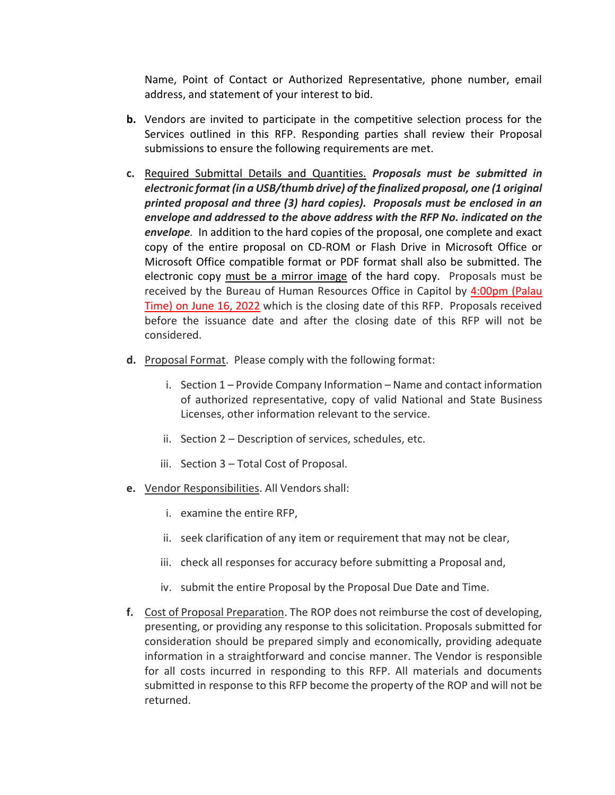Name, Point of Contact or Authorized Representative, phone number, email address, and statement of your interest to bid.

- **b.** Vendors are invited to participate in the competitive selection process for the Services outlined in this RFP. Responding parties shall review their Proposal submissions to ensure the following requirements are met.
- **c.** Required Submittal Details and Quantities. *Proposals must be submitted in electronic format (in a USB/thumb drive) of the finalized proposal, one (1 original printed proposal and three (3) hard copies). Proposals must be enclosed in an envelope and addressed to the above address with the RFP No. indicated on the envelope.* In addition to the hard copies of the proposal, one complete and exact copy of the entire proposal on CD-ROM or Flash Drive in Microsoft Office or Microsoft Office compatible format or PDF format shall also be submitted. The electronic copy must be a mirror image of the hard copy. Proposals must be received by the Bureau of Human Resources Office in Capitol by 4:00pm (Palau Time) on June 16, 2022 which is the closing date of this RFP. Proposals received before the issuance date and after the closing date of this RFP will not be considered.
- **d.** Proposal Format. Please comply with the following format:
	- i. Section 1 Provide Company Information Name and contact information of authorized representative, copy of valid National and State Business Licenses, other information relevant to the service.
	- ii. Section 2 Description of services, schedules, etc.
	- iii. Section 3 Total Cost of Proposal.
- **e.** Vendor Responsibilities. All Vendors shall:
	- i. examine the entire RFP,
	- ii. seek clarification of any item or requirement that may not be clear,
	- iii. check all responses for accuracy before submitting a Proposal and,
	- iv. submit the entire Proposal by the Proposal Due Date and Time.
- **f.** Cost of Proposal Preparation. The ROP does not reimburse the cost of developing, presenting, or providing any response to this solicitation. Proposals submitted for consideration should be prepared simply and economically, providing adequate information in a straightforward and concise manner. The Vendor is responsible for all costs incurred in responding to this RFP. All materials and documents submitted in response to this RFP become the property of the ROP and will not be returned.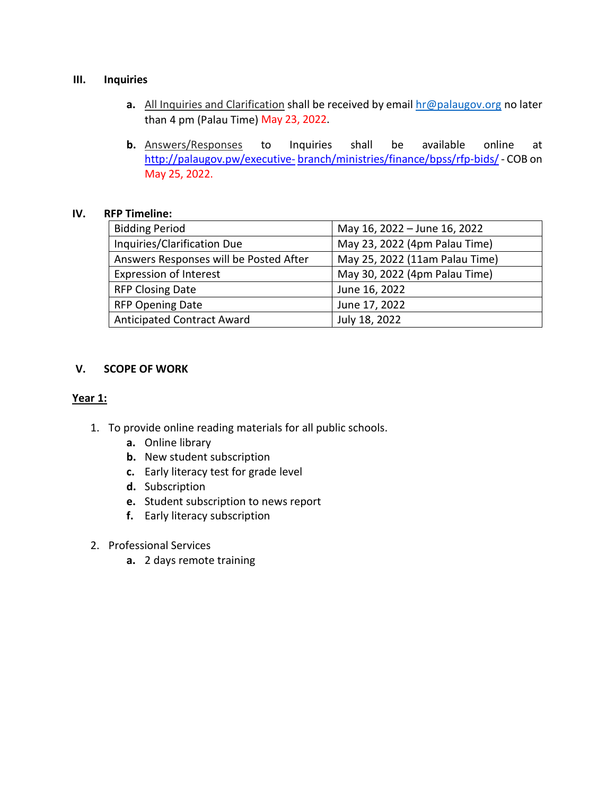# **III. Inquiries**

- **a.** All Inquiries and Clarification shall be received by email [hr@palaugov.org](mailto:hr@palaugov.org) no later than 4 pm (Palau Time) May 23, 2022.
- **b.** Answers/Responses to Inquiries shall be available online at <http://palaugov.pw/executive-> branch/ministries/finance/bpss/rfp-bids/- COB on May 25, 2022.

# **IV. RFP Timeline:**

| <b>Bidding Period</b>                  | May 16, 2022 - June 16, 2022   |
|----------------------------------------|--------------------------------|
| Inquiries/Clarification Due            | May 23, 2022 (4pm Palau Time)  |
| Answers Responses will be Posted After | May 25, 2022 (11am Palau Time) |
| <b>Expression of Interest</b>          | May 30, 2022 (4pm Palau Time)  |
| <b>RFP Closing Date</b>                | June 16, 2022                  |
| <b>RFP Opening Date</b>                | June 17, 2022                  |
| <b>Anticipated Contract Award</b>      | July 18, 2022                  |

# **V. SCOPE OF WORK**

# **Year 1:**

- 1. To provide online reading materials for all public schools.
	- **a.** Online library
	- **b.** New student subscription
	- **c.** Early literacy test for grade level
	- **d.** Subscription
	- **e.** Student subscription to news report
	- **f.** Early literacy subscription
- 2. Professional Services
	- **a.** 2 days remote training